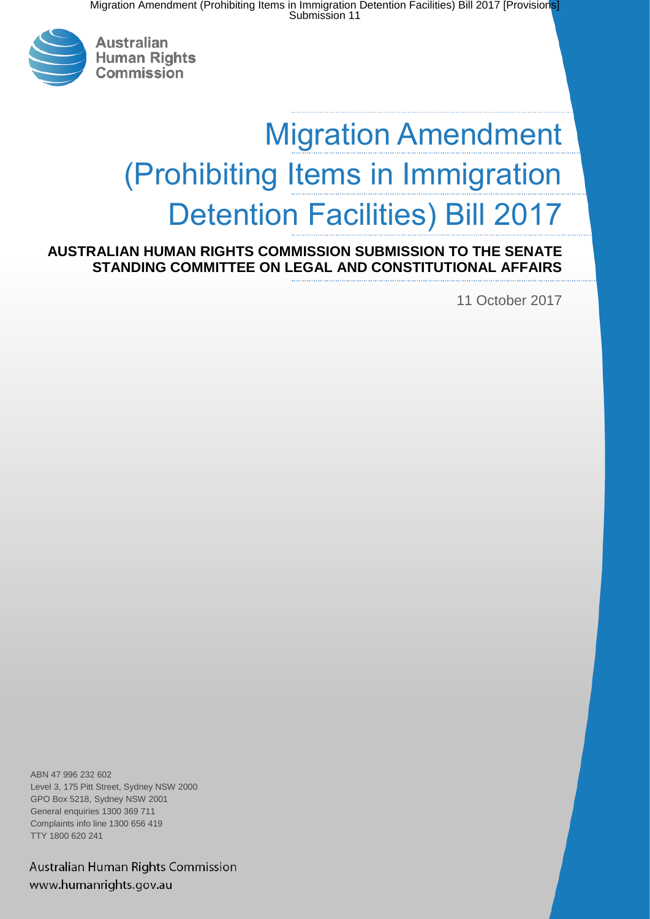

**Australian Human Rights** Commission

# Migration Amendment (Prohibiting Items in Immigration Detention Facilities) Bill 2017

**AUSTRALIAN HUMAN RIGHTS COMMISSION SUBMISSION TO THE SENATE STANDING COMMITTEE ON LEGAL AND CONSTITUTIONAL AFFAIRS**

11 October 2017

ABN 47 996 232 602 Level 3, 175 Pitt Street, Sydney NSW 2000 GPO Box 5218, Sydney NSW 2001 General enquiries 1300 369 711 Complaints info line 1300 656 419 TTY 1800 620 241

Australian Human Rights Commission www.humanrights.gov.au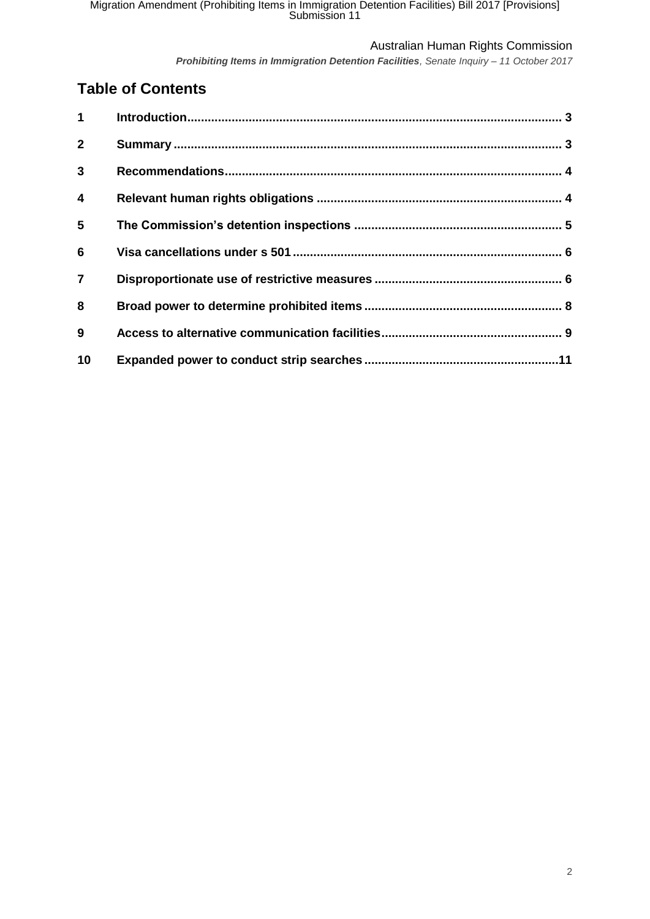#### Australian Human Rights Commission

*Prohibiting Items in Immigration Detention Facilities, Senate Inquiry – 11 October 2017*

# **Table of Contents**

| $\mathbf 1$             |  |
|-------------------------|--|
| $\mathbf{2}$            |  |
| $\mathbf{3}$            |  |
| $\overline{\mathbf{4}}$ |  |
| 5                       |  |
| 6                       |  |
| $\overline{7}$          |  |
| 8                       |  |
| 9                       |  |
| 10                      |  |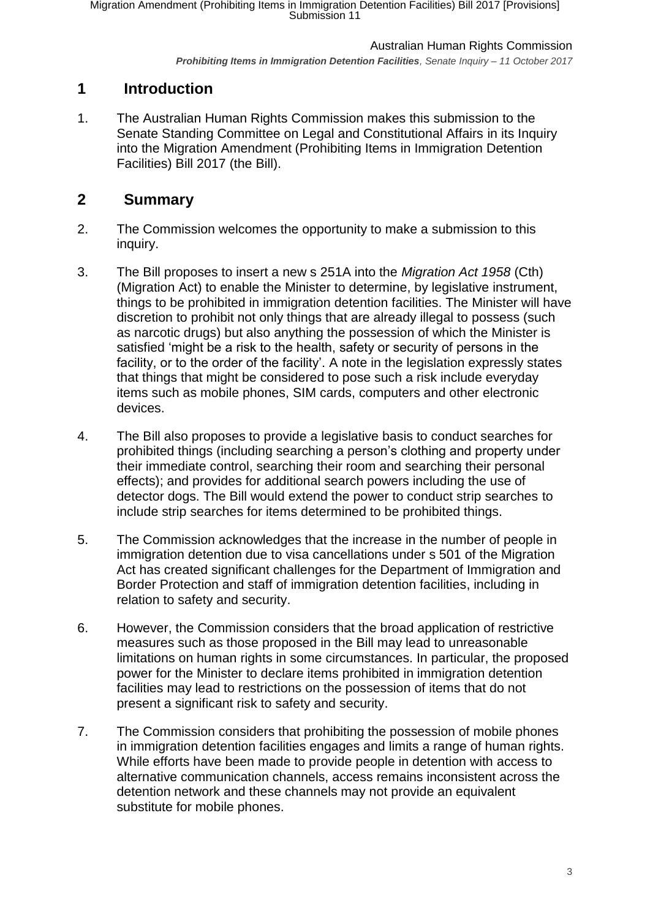*Prohibiting Items in Immigration Detention Facilities, Senate Inquiry – 11 October 2017*

# <span id="page-2-0"></span>**1 Introduction**

1. The Australian Human Rights Commission makes this submission to the Senate Standing Committee on Legal and Constitutional Affairs in its Inquiry into the Migration Amendment (Prohibiting Items in Immigration Detention Facilities) Bill 2017 (the Bill).

#### <span id="page-2-1"></span>**2 Summary**

- 2. The Commission welcomes the opportunity to make a submission to this inquiry.
- 3. The Bill proposes to insert a new s 251A into the *Migration Act 1958* (Cth) (Migration Act) to enable the Minister to determine, by legislative instrument, things to be prohibited in immigration detention facilities. The Minister will have discretion to prohibit not only things that are already illegal to possess (such as narcotic drugs) but also anything the possession of which the Minister is satisfied 'might be a risk to the health, safety or security of persons in the facility, or to the order of the facility'. A note in the legislation expressly states that things that might be considered to pose such a risk include everyday items such as mobile phones, SIM cards, computers and other electronic devices.
- 4. The Bill also proposes to provide a legislative basis to conduct searches for prohibited things (including searching a person's clothing and property under their immediate control, searching their room and searching their personal effects); and provides for additional search powers including the use of detector dogs. The Bill would extend the power to conduct strip searches to include strip searches for items determined to be prohibited things.
- 5. The Commission acknowledges that the increase in the number of people in immigration detention due to visa cancellations under s 501 of the Migration Act has created significant challenges for the Department of Immigration and Border Protection and staff of immigration detention facilities, including in relation to safety and security.
- 6. However, the Commission considers that the broad application of restrictive measures such as those proposed in the Bill may lead to unreasonable limitations on human rights in some circumstances. In particular, the proposed power for the Minister to declare items prohibited in immigration detention facilities may lead to restrictions on the possession of items that do not present a significant risk to safety and security.
- 7. The Commission considers that prohibiting the possession of mobile phones in immigration detention facilities engages and limits a range of human rights. While efforts have been made to provide people in detention with access to alternative communication channels, access remains inconsistent across the detention network and these channels may not provide an equivalent substitute for mobile phones.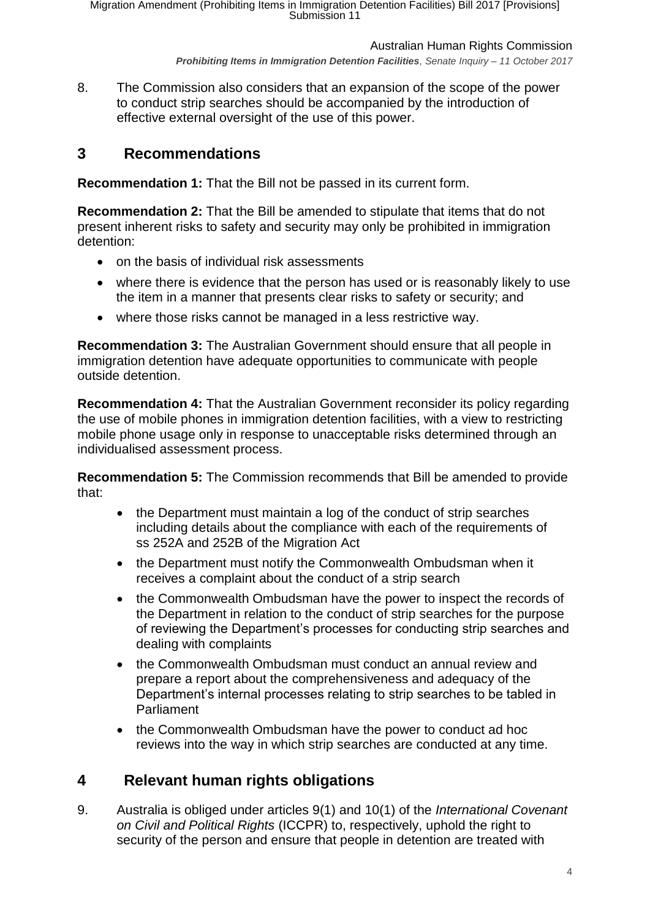*Prohibiting Items in Immigration Detention Facilities, Senate Inquiry – 11 October 2017*

8. The Commission also considers that an expansion of the scope of the power to conduct strip searches should be accompanied by the introduction of effective external oversight of the use of this power.

#### <span id="page-3-0"></span>**3 Recommendations**

**Recommendation 1:** That the Bill not be passed in its current form.

**Recommendation 2:** That the Bill be amended to stipulate that items that do not present inherent risks to safety and security may only be prohibited in immigration detention:

- on the basis of individual risk assessments
- where there is evidence that the person has used or is reasonably likely to use the item in a manner that presents clear risks to safety or security; and
- where those risks cannot be managed in a less restrictive way.

**Recommendation 3:** The Australian Government should ensure that all people in immigration detention have adequate opportunities to communicate with people outside detention.

**Recommendation 4:** That the Australian Government reconsider its policy regarding the use of mobile phones in immigration detention facilities, with a view to restricting mobile phone usage only in response to unacceptable risks determined through an individualised assessment process.

**Recommendation 5:** The Commission recommends that Bill be amended to provide that:

- the Department must maintain a log of the conduct of strip searches including details about the compliance with each of the requirements of ss 252A and 252B of the Migration Act
- the Department must notify the Commonwealth Ombudsman when it receives a complaint about the conduct of a strip search
- the Commonwealth Ombudsman have the power to inspect the records of the Department in relation to the conduct of strip searches for the purpose of reviewing the Department's processes for conducting strip searches and dealing with complaints
- the Commonwealth Ombudsman must conduct an annual review and prepare a report about the comprehensiveness and adequacy of the Department's internal processes relating to strip searches to be tabled in Parliament
- the Commonwealth Ombudsman have the power to conduct ad hoc reviews into the way in which strip searches are conducted at any time.

# <span id="page-3-1"></span>**4 Relevant human rights obligations**

9. Australia is obliged under articles 9(1) and 10(1) of the *International Covenant on Civil and Political Rights* (ICCPR) to, respectively, uphold the right to security of the person and ensure that people in detention are treated with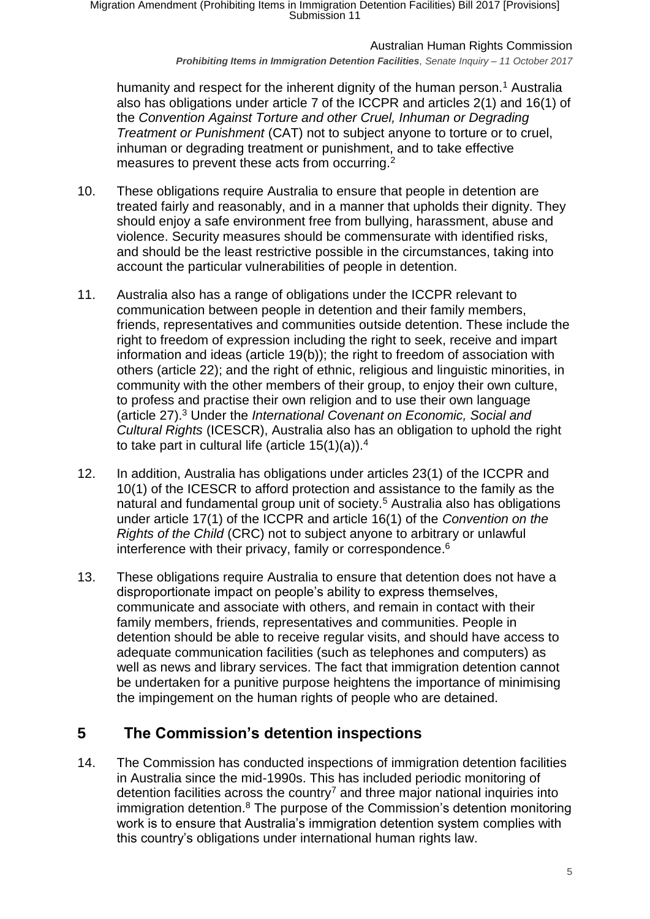Australian Human Rights Commission

*Prohibiting Items in Immigration Detention Facilities, Senate Inquiry – 11 October 2017*

humanity and respect for the inherent dignity of the human person.<sup>1</sup> Australia also has obligations under article 7 of the ICCPR and articles 2(1) and 16(1) of the *Convention Against Torture and other Cruel, Inhuman or Degrading Treatment or Punishment (CAT)* not to subject anyone to torture or to cruel, inhuman or degrading treatment or punishment, and to take effective measures to prevent these acts from occurring.<sup>2</sup>

- 10. These obligations require Australia to ensure that people in detention are treated fairly and reasonably, and in a manner that upholds their dignity. They should enjoy a safe environment free from bullying, harassment, abuse and violence. Security measures should be commensurate with identified risks, and should be the least restrictive possible in the circumstances, taking into account the particular vulnerabilities of people in detention.
- 11. Australia also has a range of obligations under the ICCPR relevant to communication between people in detention and their family members, friends, representatives and communities outside detention. These include the right to freedom of expression including the right to seek, receive and impart information and ideas (article 19(b)); the right to freedom of association with others (article 22); and the right of ethnic, religious and linguistic minorities, in community with the other members of their group, to enjoy their own culture, to profess and practise their own religion and to use their own language (article 27).<sup>3</sup> Under the *International Covenant on Economic, Social and Cultural Rights* (ICESCR), Australia also has an obligation to uphold the right to take part in cultural life (article  $15(1)(a)$ ).<sup>4</sup>
- 12. In addition, Australia has obligations under articles 23(1) of the ICCPR and 10(1) of the ICESCR to afford protection and assistance to the family as the natural and fundamental group unit of society.<sup>5</sup> Australia also has obligations under article 17(1) of the ICCPR and article 16(1) of the *Convention on the Rights of the Child* (CRC) not to subject anyone to arbitrary or unlawful interference with their privacy, family or correspondence. 6
- 13. These obligations require Australia to ensure that detention does not have a disproportionate impact on people's ability to express themselves, communicate and associate with others, and remain in contact with their family members, friends, representatives and communities. People in detention should be able to receive regular visits, and should have access to adequate communication facilities (such as telephones and computers) as well as news and library services. The fact that immigration detention cannot be undertaken for a punitive purpose heightens the importance of minimising the impingement on the human rights of people who are detained.

# <span id="page-4-0"></span>**5 The Commission's detention inspections**

14. The Commission has conducted inspections of immigration detention facilities in Australia since the mid-1990s. This has included periodic monitoring of detention facilities across the country<sup>7</sup> and three major national inquiries into immigration detention.<sup>8</sup> The purpose of the Commission's detention monitoring work is to ensure that Australia's immigration detention system complies with this country's obligations under international human rights law.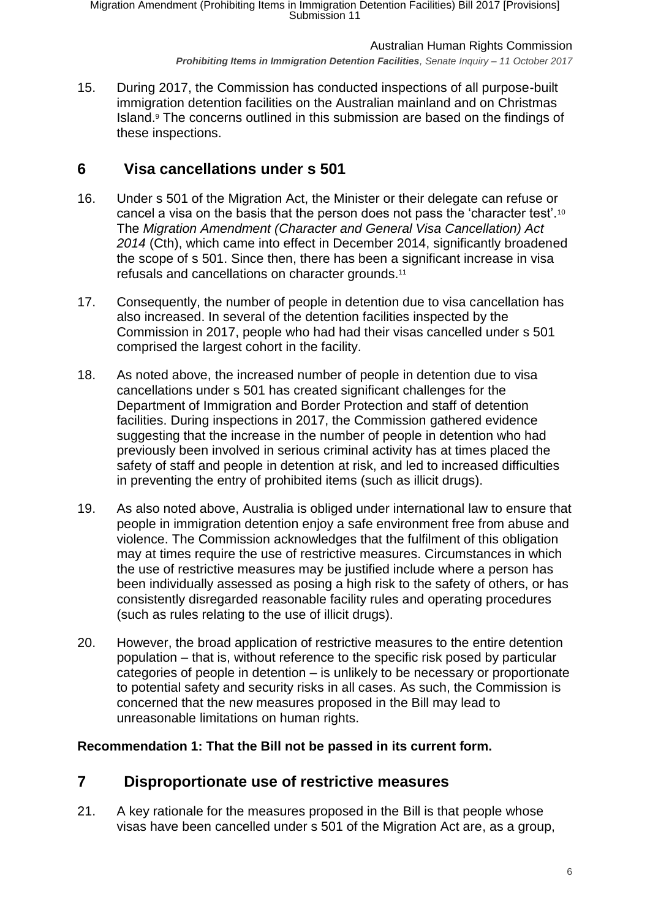Australian Human Rights Commission

*Prohibiting Items in Immigration Detention Facilities, Senate Inquiry – 11 October 2017*

15. During 2017, the Commission has conducted inspections of all purpose-built immigration detention facilities on the Australian mainland and on Christmas Island.<sup>9</sup> The concerns outlined in this submission are based on the findings of these inspections.

#### <span id="page-5-0"></span>**6 Visa cancellations under s 501**

- 16. Under s 501 of the Migration Act, the Minister or their delegate can refuse or cancel a visa on the basis that the person does not pass the 'character test'.<sup>10</sup> The *Migration Amendment (Character and General Visa Cancellation) Act 2014* (Cth), which came into effect in December 2014, significantly broadened the scope of s 501. Since then, there has been a significant increase in visa refusals and cancellations on character grounds.<sup>11</sup>
- 17. Consequently, the number of people in detention due to visa cancellation has also increased. In several of the detention facilities inspected by the Commission in 2017, people who had had their visas cancelled under s 501 comprised the largest cohort in the facility.
- 18. As noted above, the increased number of people in detention due to visa cancellations under s 501 has created significant challenges for the Department of Immigration and Border Protection and staff of detention facilities. During inspections in 2017, the Commission gathered evidence suggesting that the increase in the number of people in detention who had previously been involved in serious criminal activity has at times placed the safety of staff and people in detention at risk, and led to increased difficulties in preventing the entry of prohibited items (such as illicit drugs).
- 19. As also noted above, Australia is obliged under international law to ensure that people in immigration detention enjoy a safe environment free from abuse and violence. The Commission acknowledges that the fulfilment of this obligation may at times require the use of restrictive measures. Circumstances in which the use of restrictive measures may be justified include where a person has been individually assessed as posing a high risk to the safety of others, or has consistently disregarded reasonable facility rules and operating procedures (such as rules relating to the use of illicit drugs).
- 20. However, the broad application of restrictive measures to the entire detention population – that is, without reference to the specific risk posed by particular categories of people in detention – is unlikely to be necessary or proportionate to potential safety and security risks in all cases. As such, the Commission is concerned that the new measures proposed in the Bill may lead to unreasonable limitations on human rights.

#### **Recommendation 1: That the Bill not be passed in its current form.**

#### <span id="page-5-1"></span>**7 Disproportionate use of restrictive measures**

21. A key rationale for the measures proposed in the Bill is that people whose visas have been cancelled under s 501 of the Migration Act are, as a group,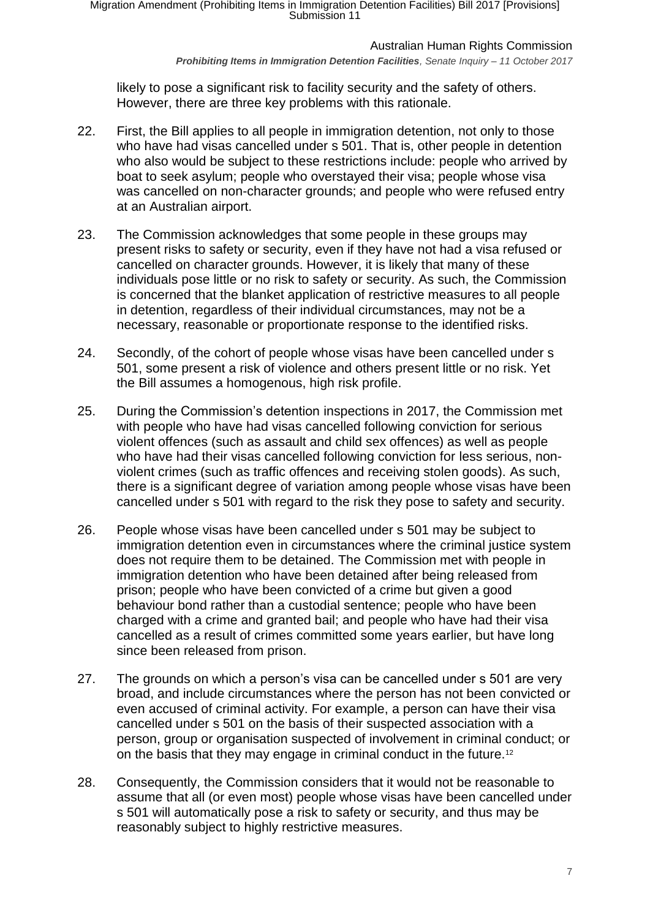#### *Prohibiting Items in Immigration Detention Facilities, Senate Inquiry – 11 October 2017*

likely to pose a significant risk to facility security and the safety of others. However, there are three key problems with this rationale.

- 22. First, the Bill applies to all people in immigration detention, not only to those who have had visas cancelled under s 501. That is, other people in detention who also would be subject to these restrictions include: people who arrived by boat to seek asylum; people who overstayed their visa; people whose visa was cancelled on non-character grounds; and people who were refused entry at an Australian airport.
- 23. The Commission acknowledges that some people in these groups may present risks to safety or security, even if they have not had a visa refused or cancelled on character grounds. However, it is likely that many of these individuals pose little or no risk to safety or security. As such, the Commission is concerned that the blanket application of restrictive measures to all people in detention, regardless of their individual circumstances, may not be a necessary, reasonable or proportionate response to the identified risks.
- 24. Secondly, of the cohort of people whose visas have been cancelled under s 501, some present a risk of violence and others present little or no risk. Yet the Bill assumes a homogenous, high risk profile.
- 25. During the Commission's detention inspections in 2017, the Commission met with people who have had visas cancelled following conviction for serious violent offences (such as assault and child sex offences) as well as people who have had their visas cancelled following conviction for less serious, nonviolent crimes (such as traffic offences and receiving stolen goods). As such, there is a significant degree of variation among people whose visas have been cancelled under s 501 with regard to the risk they pose to safety and security.
- 26. People whose visas have been cancelled under s 501 may be subject to immigration detention even in circumstances where the criminal justice system does not require them to be detained. The Commission met with people in immigration detention who have been detained after being released from prison; people who have been convicted of a crime but given a good behaviour bond rather than a custodial sentence; people who have been charged with a crime and granted bail; and people who have had their visa cancelled as a result of crimes committed some years earlier, but have long since been released from prison.
- 27. The grounds on which a person's visa can be cancelled under s 501 are very broad, and include circumstances where the person has not been convicted or even accused of criminal activity. For example, a person can have their visa cancelled under s 501 on the basis of their suspected association with a person, group or organisation suspected of involvement in criminal conduct; or on the basis that they may engage in criminal conduct in the future.<sup>12</sup>
- 28. Consequently, the Commission considers that it would not be reasonable to assume that all (or even most) people whose visas have been cancelled under s 501 will automatically pose a risk to safety or security, and thus may be reasonably subject to highly restrictive measures.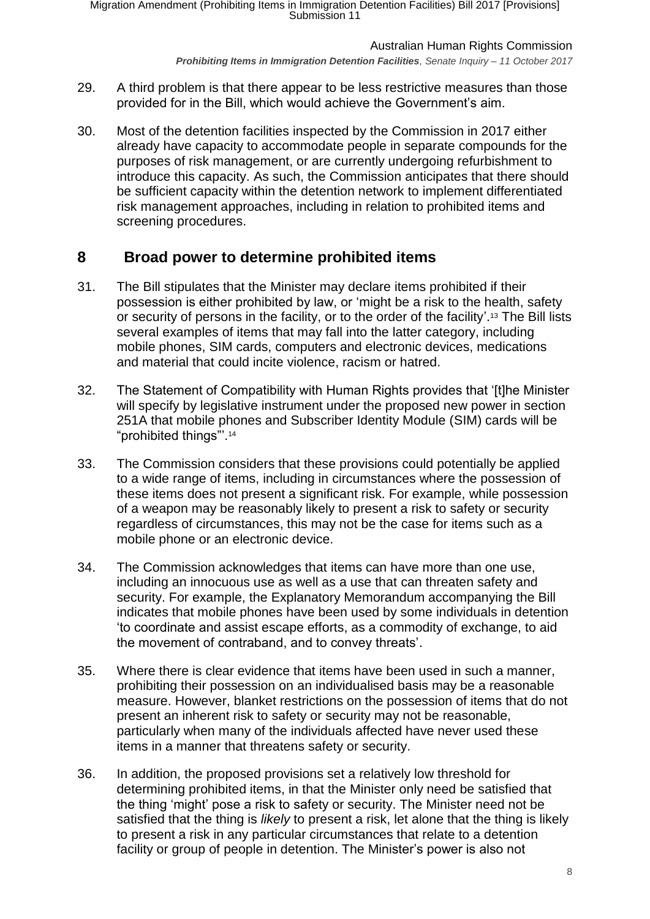*Prohibiting Items in Immigration Detention Facilities, Senate Inquiry – 11 October 2017*

- 29. A third problem is that there appear to be less restrictive measures than those provided for in the Bill, which would achieve the Government's aim.
- 30. Most of the detention facilities inspected by the Commission in 2017 either already have capacity to accommodate people in separate compounds for the purposes of risk management, or are currently undergoing refurbishment to introduce this capacity. As such, the Commission anticipates that there should be sufficient capacity within the detention network to implement differentiated risk management approaches, including in relation to prohibited items and screening procedures.

# <span id="page-7-0"></span>**8 Broad power to determine prohibited items**

- 31. The Bill stipulates that the Minister may declare items prohibited if their possession is either prohibited by law, or 'might be a risk to the health, safety or security of persons in the facility, or to the order of the facility'. <sup>13</sup> The Bill lists several examples of items that may fall into the latter category, including mobile phones, SIM cards, computers and electronic devices, medications and material that could incite violence, racism or hatred.
- 32. The Statement of Compatibility with Human Rights provides that '[t]he Minister will specify by legislative instrument under the proposed new power in section 251A that mobile phones and Subscriber Identity Module (SIM) cards will be "prohibited things"'.<sup>14</sup>
- 33. The Commission considers that these provisions could potentially be applied to a wide range of items, including in circumstances where the possession of these items does not present a significant risk. For example, while possession of a weapon may be reasonably likely to present a risk to safety or security regardless of circumstances, this may not be the case for items such as a mobile phone or an electronic device.
- 34. The Commission acknowledges that items can have more than one use, including an innocuous use as well as a use that can threaten safety and security. For example, the Explanatory Memorandum accompanying the Bill indicates that mobile phones have been used by some individuals in detention 'to coordinate and assist escape efforts, as a commodity of exchange, to aid the movement of contraband, and to convey threats'.
- 35. Where there is clear evidence that items have been used in such a manner, prohibiting their possession on an individualised basis may be a reasonable measure. However, blanket restrictions on the possession of items that do not present an inherent risk to safety or security may not be reasonable, particularly when many of the individuals affected have never used these items in a manner that threatens safety or security.
- 36. In addition, the proposed provisions set a relatively low threshold for determining prohibited items, in that the Minister only need be satisfied that the thing 'might' pose a risk to safety or security. The Minister need not be satisfied that the thing is *likely* to present a risk, let alone that the thing is likely to present a risk in any particular circumstances that relate to a detention facility or group of people in detention. The Minister's power is also not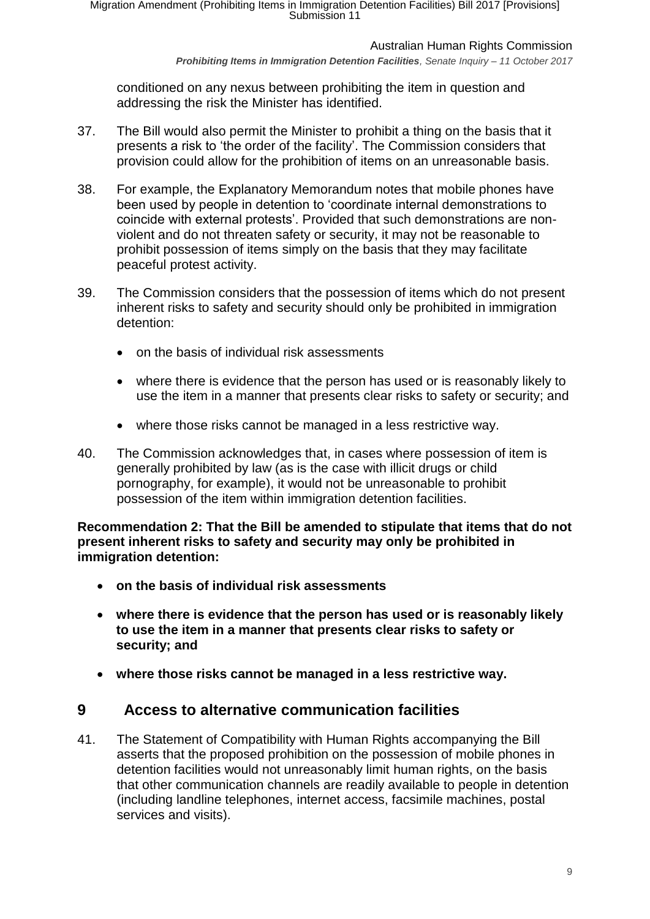#### *Prohibiting Items in Immigration Detention Facilities, Senate Inquiry – 11 October 2017*

conditioned on any nexus between prohibiting the item in question and addressing the risk the Minister has identified.

- 37. The Bill would also permit the Minister to prohibit a thing on the basis that it presents a risk to 'the order of the facility'. The Commission considers that provision could allow for the prohibition of items on an unreasonable basis.
- 38. For example, the Explanatory Memorandum notes that mobile phones have been used by people in detention to 'coordinate internal demonstrations to coincide with external protests'. Provided that such demonstrations are nonviolent and do not threaten safety or security, it may not be reasonable to prohibit possession of items simply on the basis that they may facilitate peaceful protest activity.
- 39. The Commission considers that the possession of items which do not present inherent risks to safety and security should only be prohibited in immigration detention:
	- on the basis of individual risk assessments
	- where there is evidence that the person has used or is reasonably likely to use the item in a manner that presents clear risks to safety or security; and
	- where those risks cannot be managed in a less restrictive way.
- 40. The Commission acknowledges that, in cases where possession of item is generally prohibited by law (as is the case with illicit drugs or child pornography, for example), it would not be unreasonable to prohibit possession of the item within immigration detention facilities.

**Recommendation 2: That the Bill be amended to stipulate that items that do not present inherent risks to safety and security may only be prohibited in immigration detention:**

- **on the basis of individual risk assessments**
- **where there is evidence that the person has used or is reasonably likely to use the item in a manner that presents clear risks to safety or security; and**
- **where those risks cannot be managed in a less restrictive way.**

#### <span id="page-8-0"></span>**9 Access to alternative communication facilities**

41. The Statement of Compatibility with Human Rights accompanying the Bill asserts that the proposed prohibition on the possession of mobile phones in detention facilities would not unreasonably limit human rights, on the basis that other communication channels are readily available to people in detention (including landline telephones, internet access, facsimile machines, postal services and visits).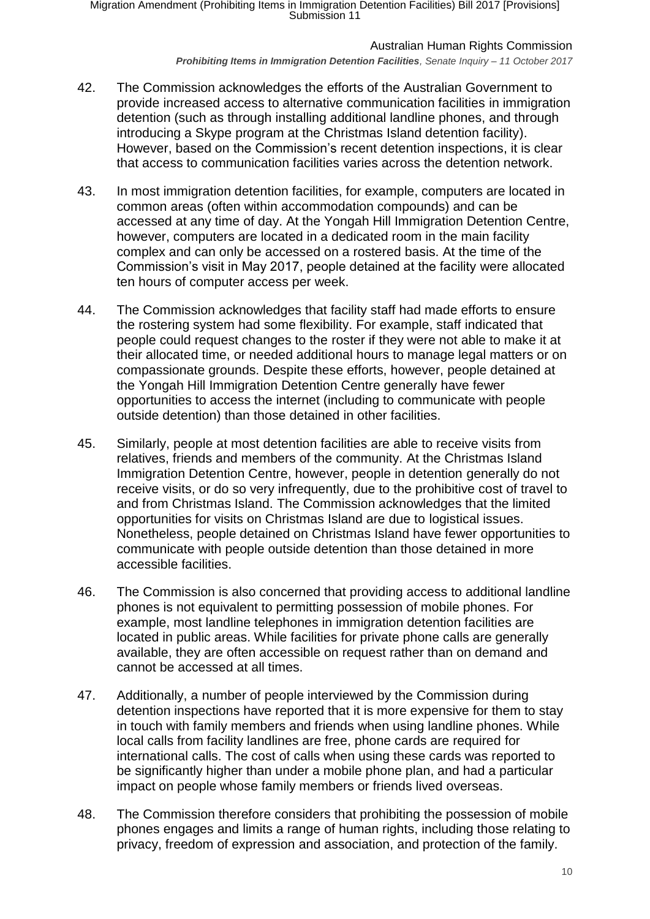*Prohibiting Items in Immigration Detention Facilities, Senate Inquiry – 11 October 2017*

- 42. The Commission acknowledges the efforts of the Australian Government to provide increased access to alternative communication facilities in immigration detention (such as through installing additional landline phones, and through introducing a Skype program at the Christmas Island detention facility). However, based on the Commission's recent detention inspections, it is clear that access to communication facilities varies across the detention network.
- 43. In most immigration detention facilities, for example, computers are located in common areas (often within accommodation compounds) and can be accessed at any time of day. At the Yongah Hill Immigration Detention Centre, however, computers are located in a dedicated room in the main facility complex and can only be accessed on a rostered basis. At the time of the Commission's visit in May 2017, people detained at the facility were allocated ten hours of computer access per week.
- 44. The Commission acknowledges that facility staff had made efforts to ensure the rostering system had some flexibility. For example, staff indicated that people could request changes to the roster if they were not able to make it at their allocated time, or needed additional hours to manage legal matters or on compassionate grounds. Despite these efforts, however, people detained at the Yongah Hill Immigration Detention Centre generally have fewer opportunities to access the internet (including to communicate with people outside detention) than those detained in other facilities.
- 45. Similarly, people at most detention facilities are able to receive visits from relatives, friends and members of the community. At the Christmas Island Immigration Detention Centre, however, people in detention generally do not receive visits, or do so very infrequently, due to the prohibitive cost of travel to and from Christmas Island. The Commission acknowledges that the limited opportunities for visits on Christmas Island are due to logistical issues. Nonetheless, people detained on Christmas Island have fewer opportunities to communicate with people outside detention than those detained in more accessible facilities.
- 46. The Commission is also concerned that providing access to additional landline phones is not equivalent to permitting possession of mobile phones. For example, most landline telephones in immigration detention facilities are located in public areas. While facilities for private phone calls are generally available, they are often accessible on request rather than on demand and cannot be accessed at all times.
- 47. Additionally, a number of people interviewed by the Commission during detention inspections have reported that it is more expensive for them to stay in touch with family members and friends when using landline phones. While local calls from facility landlines are free, phone cards are required for international calls. The cost of calls when using these cards was reported to be significantly higher than under a mobile phone plan, and had a particular impact on people whose family members or friends lived overseas.
- 48. The Commission therefore considers that prohibiting the possession of mobile phones engages and limits a range of human rights, including those relating to privacy, freedom of expression and association, and protection of the family.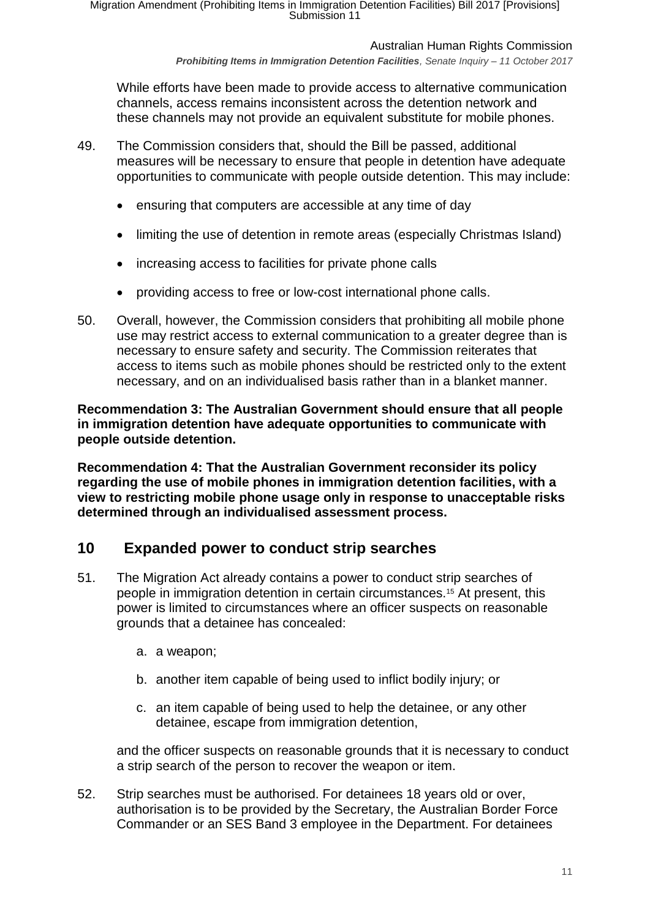*Prohibiting Items in Immigration Detention Facilities, Senate Inquiry – 11 October 2017*

While efforts have been made to provide access to alternative communication channels, access remains inconsistent across the detention network and these channels may not provide an equivalent substitute for mobile phones.

- 49. The Commission considers that, should the Bill be passed, additional measures will be necessary to ensure that people in detention have adequate opportunities to communicate with people outside detention. This may include:
	- ensuring that computers are accessible at any time of day
	- limiting the use of detention in remote areas (especially Christmas Island)
	- increasing access to facilities for private phone calls
	- providing access to free or low-cost international phone calls.
- 50. Overall, however, the Commission considers that prohibiting all mobile phone use may restrict access to external communication to a greater degree than is necessary to ensure safety and security. The Commission reiterates that access to items such as mobile phones should be restricted only to the extent necessary, and on an individualised basis rather than in a blanket manner.

**Recommendation 3: The Australian Government should ensure that all people in immigration detention have adequate opportunities to communicate with people outside detention.**

**Recommendation 4: That the Australian Government reconsider its policy regarding the use of mobile phones in immigration detention facilities, with a view to restricting mobile phone usage only in response to unacceptable risks determined through an individualised assessment process.**

# <span id="page-10-0"></span>**10 Expanded power to conduct strip searches**

- 51. The Migration Act already contains a power to conduct strip searches of people in immigration detention in certain circumstances.<sup>15</sup> At present, this power is limited to circumstances where an officer suspects on reasonable grounds that a detainee has concealed:
	- a. a weapon;
	- b. another item capable of being used to inflict bodily injury; or
	- c. an item capable of being used to help the detainee, or any other detainee, escape from immigration detention,

and the officer suspects on reasonable grounds that it is necessary to conduct a strip search of the person to recover the weapon or item.

52. Strip searches must be authorised. For detainees 18 years old or over, authorisation is to be provided by the Secretary, the Australian Border Force Commander or an SES Band 3 employee in the Department. For detainees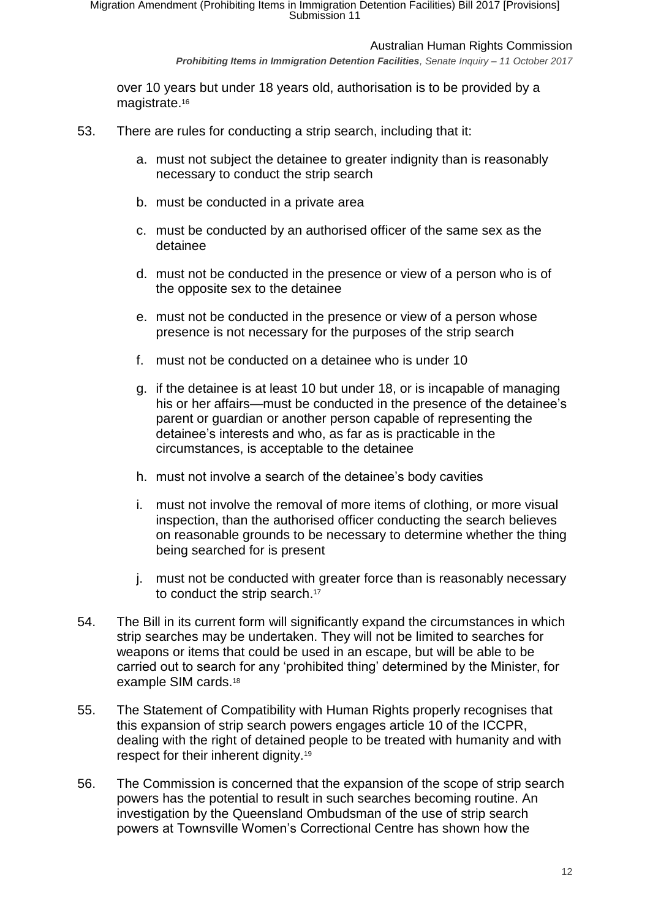*Prohibiting Items in Immigration Detention Facilities, Senate Inquiry – 11 October 2017*

over 10 years but under 18 years old, authorisation is to be provided by a magistrate.<sup>16</sup>

- 53. There are rules for conducting a strip search, including that it:
	- a. must not subject the detainee to greater indignity than is reasonably necessary to conduct the strip search
	- b. must be conducted in a private area
	- c. must be conducted by an authorised officer of the same sex as the detainee
	- d. must not be conducted in the presence or view of a person who is of the opposite sex to the detainee
	- e. must not be conducted in the presence or view of a person whose presence is not necessary for the purposes of the strip search
	- f. must not be conducted on a detainee who is under 10
	- g. if the detainee is at least 10 but under 18, or is incapable of managing his or her affairs—must be conducted in the presence of the detainee's parent or guardian or another person capable of representing the detainee's interests and who, as far as is practicable in the circumstances, is acceptable to the detainee
	- h. must not involve a search of the detainee's body cavities
	- i. must not involve the removal of more items of clothing, or more visual inspection, than the authorised officer conducting the search believes on reasonable grounds to be necessary to determine whether the thing being searched for is present
	- j. must not be conducted with greater force than is reasonably necessary to conduct the strip search. 17
- 54. The Bill in its current form will significantly expand the circumstances in which strip searches may be undertaken. They will not be limited to searches for weapons or items that could be used in an escape, but will be able to be carried out to search for any 'prohibited thing' determined by the Minister, for example SIM cards.<sup>18</sup>
- 55. The Statement of Compatibility with Human Rights properly recognises that this expansion of strip search powers engages article 10 of the ICCPR, dealing with the right of detained people to be treated with humanity and with respect for their inherent dignity.<sup>19</sup>
- 56. The Commission is concerned that the expansion of the scope of strip search powers has the potential to result in such searches becoming routine. An investigation by the Queensland Ombudsman of the use of strip search powers at Townsville Women's Correctional Centre has shown how the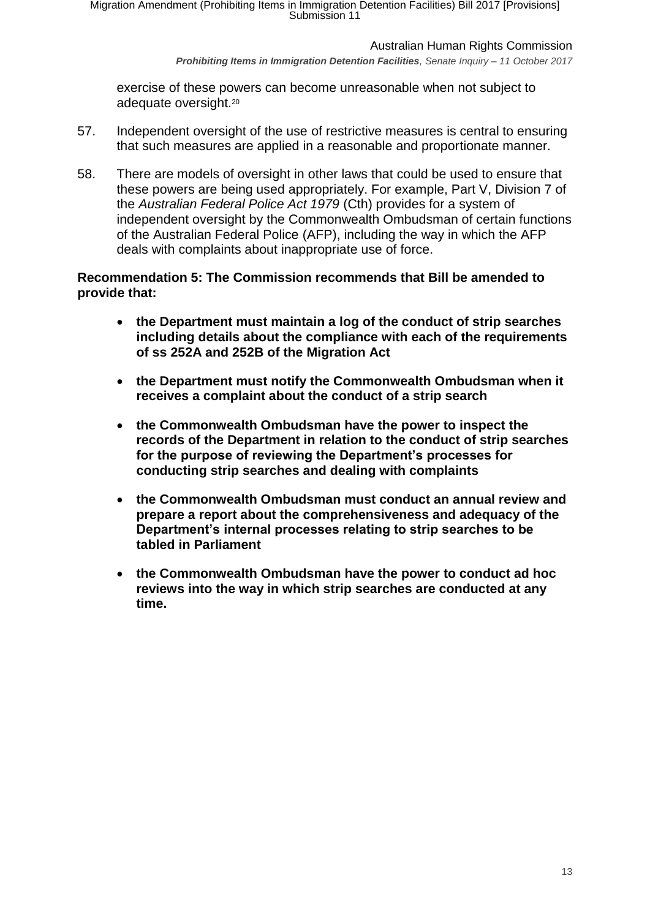*Prohibiting Items in Immigration Detention Facilities, Senate Inquiry – 11 October 2017*

exercise of these powers can become unreasonable when not subject to adequate oversight.<sup>20</sup>

- 57. Independent oversight of the use of restrictive measures is central to ensuring that such measures are applied in a reasonable and proportionate manner.
- 58. There are models of oversight in other laws that could be used to ensure that these powers are being used appropriately. For example, Part V, Division 7 of the *Australian Federal Police Act 1979* (Cth) provides for a system of independent oversight by the Commonwealth Ombudsman of certain functions of the Australian Federal Police (AFP), including the way in which the AFP deals with complaints about inappropriate use of force.

**Recommendation 5: The Commission recommends that Bill be amended to provide that:**

- **the Department must maintain a log of the conduct of strip searches including details about the compliance with each of the requirements of ss 252A and 252B of the Migration Act**
- **the Department must notify the Commonwealth Ombudsman when it receives a complaint about the conduct of a strip search**
- **the Commonwealth Ombudsman have the power to inspect the records of the Department in relation to the conduct of strip searches for the purpose of reviewing the Department's processes for conducting strip searches and dealing with complaints**
- **the Commonwealth Ombudsman must conduct an annual review and prepare a report about the comprehensiveness and adequacy of the Department's internal processes relating to strip searches to be tabled in Parliament**
- **the Commonwealth Ombudsman have the power to conduct ad hoc reviews into the way in which strip searches are conducted at any time.**